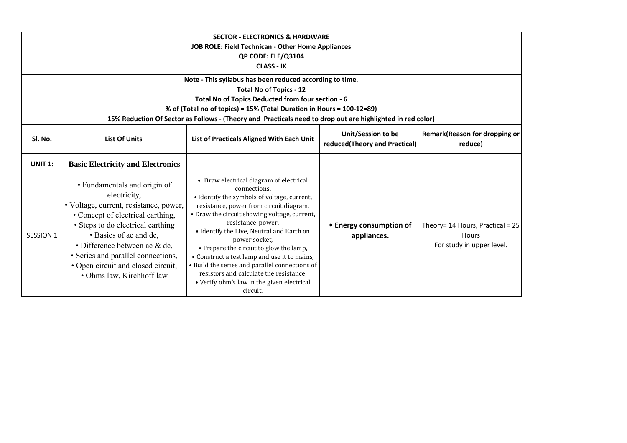| <b>SECTOR - ELECTRONICS &amp; HARDWARE</b>        |                                                                                                                                                                                                                                                                                                                                      |                                                                                                                                                                                                                                                                                                                                                                                                                                                                                                                                         |                                                     |                                                                            |  |
|---------------------------------------------------|--------------------------------------------------------------------------------------------------------------------------------------------------------------------------------------------------------------------------------------------------------------------------------------------------------------------------------------|-----------------------------------------------------------------------------------------------------------------------------------------------------------------------------------------------------------------------------------------------------------------------------------------------------------------------------------------------------------------------------------------------------------------------------------------------------------------------------------------------------------------------------------------|-----------------------------------------------------|----------------------------------------------------------------------------|--|
| JOB ROLE: Field Technican - Other Home Appliances |                                                                                                                                                                                                                                                                                                                                      |                                                                                                                                                                                                                                                                                                                                                                                                                                                                                                                                         |                                                     |                                                                            |  |
|                                                   | QP CODE: ELE/Q3104                                                                                                                                                                                                                                                                                                                   |                                                                                                                                                                                                                                                                                                                                                                                                                                                                                                                                         |                                                     |                                                                            |  |
|                                                   |                                                                                                                                                                                                                                                                                                                                      | <b>CLASS - IX</b>                                                                                                                                                                                                                                                                                                                                                                                                                                                                                                                       |                                                     |                                                                            |  |
|                                                   |                                                                                                                                                                                                                                                                                                                                      | Note - This syllabus has been reduced according to time.                                                                                                                                                                                                                                                                                                                                                                                                                                                                                |                                                     |                                                                            |  |
|                                                   |                                                                                                                                                                                                                                                                                                                                      | <b>Total No of Topics - 12</b>                                                                                                                                                                                                                                                                                                                                                                                                                                                                                                          |                                                     |                                                                            |  |
|                                                   |                                                                                                                                                                                                                                                                                                                                      | Total No of Topics Deducted from four section - 6                                                                                                                                                                                                                                                                                                                                                                                                                                                                                       |                                                     |                                                                            |  |
|                                                   |                                                                                                                                                                                                                                                                                                                                      | % of (Total no of topics) = 15% (Total Duration in Hours = 100-12=89)                                                                                                                                                                                                                                                                                                                                                                                                                                                                   |                                                     |                                                                            |  |
|                                                   |                                                                                                                                                                                                                                                                                                                                      | 15% Reduction Of Sector as Follows - (Theory and Practicals need to drop out are highlighted in red color)                                                                                                                                                                                                                                                                                                                                                                                                                              |                                                     |                                                                            |  |
| SI. No.                                           | <b>List Of Units</b>                                                                                                                                                                                                                                                                                                                 | List of Practicals Aligned With Each Unit                                                                                                                                                                                                                                                                                                                                                                                                                                                                                               | Unit/Session to be<br>reduced(Theory and Practical) | Remark(Reason for dropping or<br>reduce)                                   |  |
| <b>UNIT 1:</b>                                    | <b>Basic Electricity and Electronics</b>                                                                                                                                                                                                                                                                                             |                                                                                                                                                                                                                                                                                                                                                                                                                                                                                                                                         |                                                     |                                                                            |  |
| SESSION 1                                         | • Fundamentals and origin of<br>electricity,<br>• Voltage, current, resistance, power,<br>• Concept of electrical earthing,<br>• Steps to do electrical earthing<br>• Basics of ac and dc,<br>• Difference between ac & dc,<br>• Series and parallel connections,<br>• Open circuit and closed circuit,<br>• Ohms law, Kirchhoff law | • Draw electrical diagram of electrical<br>connections,<br>• Identify the symbols of voltage, current,<br>resistance, power from circuit diagram,<br>• Draw the circuit showing voltage, current,<br>resistance, power,<br>• Identify the Live, Neutral and Earth on<br>power socket,<br>• Prepare the circuit to glow the lamp,<br>• Construct a test lamp and use it to mains,<br>• Build the series and parallel connections of<br>resistors and calculate the resistance,<br>• Verify ohm's law in the given electrical<br>circuit. | • Energy consumption of<br>appliances.              | Theory= $14$ Hours, Practical = $25$<br>Hours<br>For study in upper level. |  |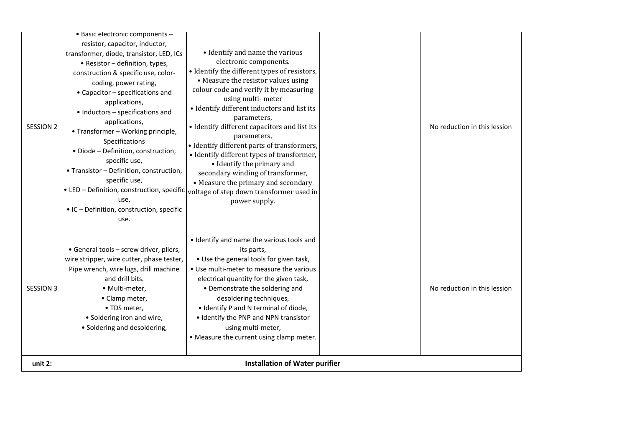| SESSION 2        | • Basic electronic components -<br>resistor, capacitor, inductor,<br>transformer, diode, transistor, LED, ICs<br>• Resistor - definition, types,<br>construction & specific use, color-<br>coding, power rating,<br>• Capacitor - specifications and<br>applications,<br>• Inductors - specifications and<br>applications,<br>• Transformer - Working principle,<br>Specifications<br>· Diode - Definition, construction,<br>specific use,<br>• Transistor - Definition, construction,<br>specific use,<br>use,<br>• IC - Definition, construction, specific | • Identify and name the various<br>electronic components.<br>· Identify the different types of resistors,<br>• Measure the resistor values using<br>colour code and verify it by measuring<br>using multi-meter<br>• Identify different inductors and list its<br>parameters,<br>• Identify different capacitors and list its<br>parameters,<br>• Identify different parts of transformers,<br>• Identify different types of transformer,<br>• Identify the primary and<br>secondary winding of transformer,<br>• Measure the primary and secondary<br>• LED - Definition, construction, specific voltage of step down transformer used in<br>power supply. |  | No reduction in this lession |
|------------------|--------------------------------------------------------------------------------------------------------------------------------------------------------------------------------------------------------------------------------------------------------------------------------------------------------------------------------------------------------------------------------------------------------------------------------------------------------------------------------------------------------------------------------------------------------------|-------------------------------------------------------------------------------------------------------------------------------------------------------------------------------------------------------------------------------------------------------------------------------------------------------------------------------------------------------------------------------------------------------------------------------------------------------------------------------------------------------------------------------------------------------------------------------------------------------------------------------------------------------------|--|------------------------------|
| <b>SESSION 3</b> | <u>use</u><br>• General tools - screw driver, pliers,<br>wire stripper, wire cutter, phase tester,<br>Pipe wrench, wire lugs, drill machine<br>and drill bits.<br>· Multi-meter,<br>• Clamp meter,<br>• TDS meter,<br>• Soldering iron and wire,<br>• Soldering and desoldering,                                                                                                                                                                                                                                                                             | • Identify and name the various tools and<br>its parts,<br>• Use the general tools for given task,<br>• Use multi-meter to measure the various<br>electrical quantity for the given task,<br>• Demonstrate the soldering and<br>desoldering techniques,<br>. Identify P and N terminal of diode,<br>• Identify the PNP and NPN transistor<br>using multi-meter,<br>• Measure the current using clamp meter.                                                                                                                                                                                                                                                 |  | No reduction in this lession |
| unit 2:          | <b>Installation of Water purifier</b>                                                                                                                                                                                                                                                                                                                                                                                                                                                                                                                        |                                                                                                                                                                                                                                                                                                                                                                                                                                                                                                                                                                                                                                                             |  |                              |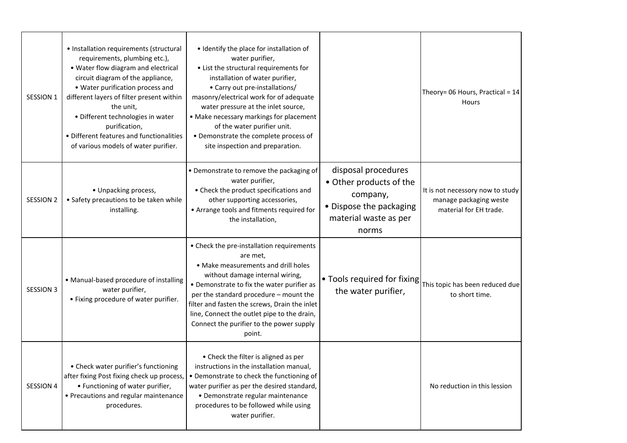| SESSION 1        | • Installation requirements (structural<br>requirements, plumbing etc.),<br>• Water flow diagram and electrical<br>circuit diagram of the appliance,<br>• Water purification process and<br>different layers of filter present within<br>the unit,<br>• Different technologies in water<br>purification,<br>• Different features and functionalities<br>of various models of water purifier. | • Identify the place for installation of<br>water purifier,<br>• List the structural requirements for<br>installation of water purifier,<br>• Carry out pre-installations/<br>masonry/electrical work for of adequate<br>water pressure at the inlet source,<br>• Make necessary markings for placement<br>of the water purifier unit.<br>• Demonstrate the complete process of<br>site inspection and preparation. |                                                                                                                         | Theory= 06 Hours, Practical = 14<br>Hours                                            |
|------------------|----------------------------------------------------------------------------------------------------------------------------------------------------------------------------------------------------------------------------------------------------------------------------------------------------------------------------------------------------------------------------------------------|---------------------------------------------------------------------------------------------------------------------------------------------------------------------------------------------------------------------------------------------------------------------------------------------------------------------------------------------------------------------------------------------------------------------|-------------------------------------------------------------------------------------------------------------------------|--------------------------------------------------------------------------------------|
| <b>SESSION 2</b> | • Unpacking process,<br>• Safety precautions to be taken while<br>installing.                                                                                                                                                                                                                                                                                                                | • Demonstrate to remove the packaging of<br>water purifier,<br>• Check the product specifications and<br>other supporting accessories,<br>• Arrange tools and fitments required for<br>the installation,                                                                                                                                                                                                            | disposal procedures<br>• Other products of the<br>company,<br>• Dispose the packaging<br>material waste as per<br>norms | It is not necessory now to study<br>manage packaging weste<br>material for EH trade. |
| <b>SESSION 3</b> | • Manual-based procedure of installing<br>water purifier,<br>• Fixing procedure of water purifier.                                                                                                                                                                                                                                                                                           | • Check the pre-installation requirements<br>are met,<br>• Make measurements and drill holes<br>without damage internal wiring,<br>• Demonstrate to fix the water purifier as<br>per the standard procedure - mount the<br>filter and fasten the screws, Drain the inlet<br>line, Connect the outlet pipe to the drain,<br>Connect the purifier to the power supply<br>point.                                       | . Tools required for fixing<br>the water purifier,                                                                      | This topic has been reduced due<br>to short time.                                    |
| SESSION 4        | • Check water purifier's functioning<br>after fixing Post fixing check up process,<br>• Functioning of water purifier,<br>• Precautions and regular maintenance<br>procedures.                                                                                                                                                                                                               | • Check the filter is aligned as per<br>instructions in the installation manual,<br>• Demonstrate to check the functioning of<br>water purifier as per the desired standard,<br>· Demonstrate regular maintenance<br>procedures to be followed while using<br>water purifier.                                                                                                                                       |                                                                                                                         | No reduction in this lession                                                         |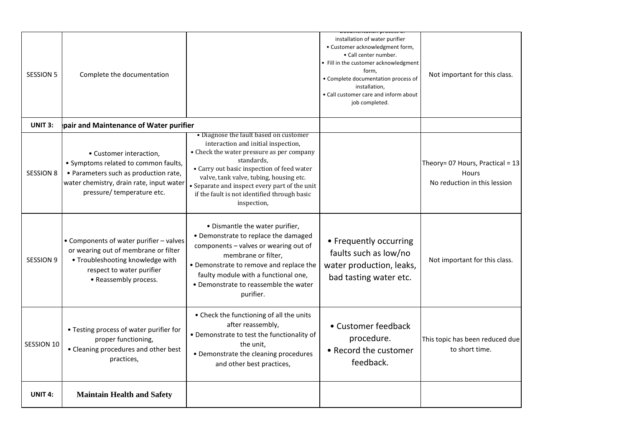| <b>SESSION 5</b>  | Complete the documentation                                                                                                                                                        |                                                                                                                                                                                                                                                                                                                                                   | installation of water purifier<br>• Customer acknowledgment form,<br>• Call center number.<br>• Fill in the customer acknowledgment<br>form,<br>• Complete documentation process of<br>installation,<br>• Call customer care and inform about<br>job completed. | Not important for this class.                                             |
|-------------------|-----------------------------------------------------------------------------------------------------------------------------------------------------------------------------------|---------------------------------------------------------------------------------------------------------------------------------------------------------------------------------------------------------------------------------------------------------------------------------------------------------------------------------------------------|-----------------------------------------------------------------------------------------------------------------------------------------------------------------------------------------------------------------------------------------------------------------|---------------------------------------------------------------------------|
| <b>UNIT 3:</b>    | pair and Maintenance of Water purifier                                                                                                                                            |                                                                                                                                                                                                                                                                                                                                                   |                                                                                                                                                                                                                                                                 |                                                                           |
| <b>SESSION 8</b>  | • Customer interaction,<br>• Symptoms related to common faults,<br>• Parameters such as production rate,<br>water chemistry, drain rate, input water<br>pressure/temperature etc. | • Diagnose the fault based on customer<br>interaction and initial inspection,<br>• Check the water pressure as per company<br>standards,<br>• Carry out basic inspection of feed water<br>valve, tank valve, tubing, housing etc.<br>• Separate and inspect every part of the unit<br>if the fault is not identified through basic<br>inspection, |                                                                                                                                                                                                                                                                 | Theory= 07 Hours, Practical = 13<br>Hours<br>No reduction in this lession |
| <b>SESSION 9</b>  | • Components of water purifier - valves<br>or wearing out of membrane or filter<br>• Troubleshooting knowledge with<br>respect to water purifier<br>• Reassembly process.         | • Dismantle the water purifier,<br>• Demonstrate to replace the damaged<br>components - valves or wearing out of<br>membrane or filter,<br>• Demonstrate to remove and replace the<br>faulty module with a functional one,<br>• Demonstrate to reassemble the water<br>purifier.                                                                  | • Frequently occurring<br>faults such as low/no<br>water production, leaks,<br>bad tasting water etc.                                                                                                                                                           | Not important for this class.                                             |
| <b>SESSION 10</b> | • Testing process of water purifier for<br>proper functioning,<br>• Cleaning procedures and other best<br>practices,                                                              | • Check the functioning of all the units<br>after reassembly,<br>• Demonstrate to test the functionality of<br>the unit,<br>• Demonstrate the cleaning procedures<br>and other best practices,                                                                                                                                                    | • Customer feedback<br>procedure.<br>• Record the customer<br>feedback.                                                                                                                                                                                         | This topic has been reduced due<br>to short time.                         |
| <b>UNIT 4:</b>    | <b>Maintain Health and Safety</b>                                                                                                                                                 |                                                                                                                                                                                                                                                                                                                                                   |                                                                                                                                                                                                                                                                 |                                                                           |